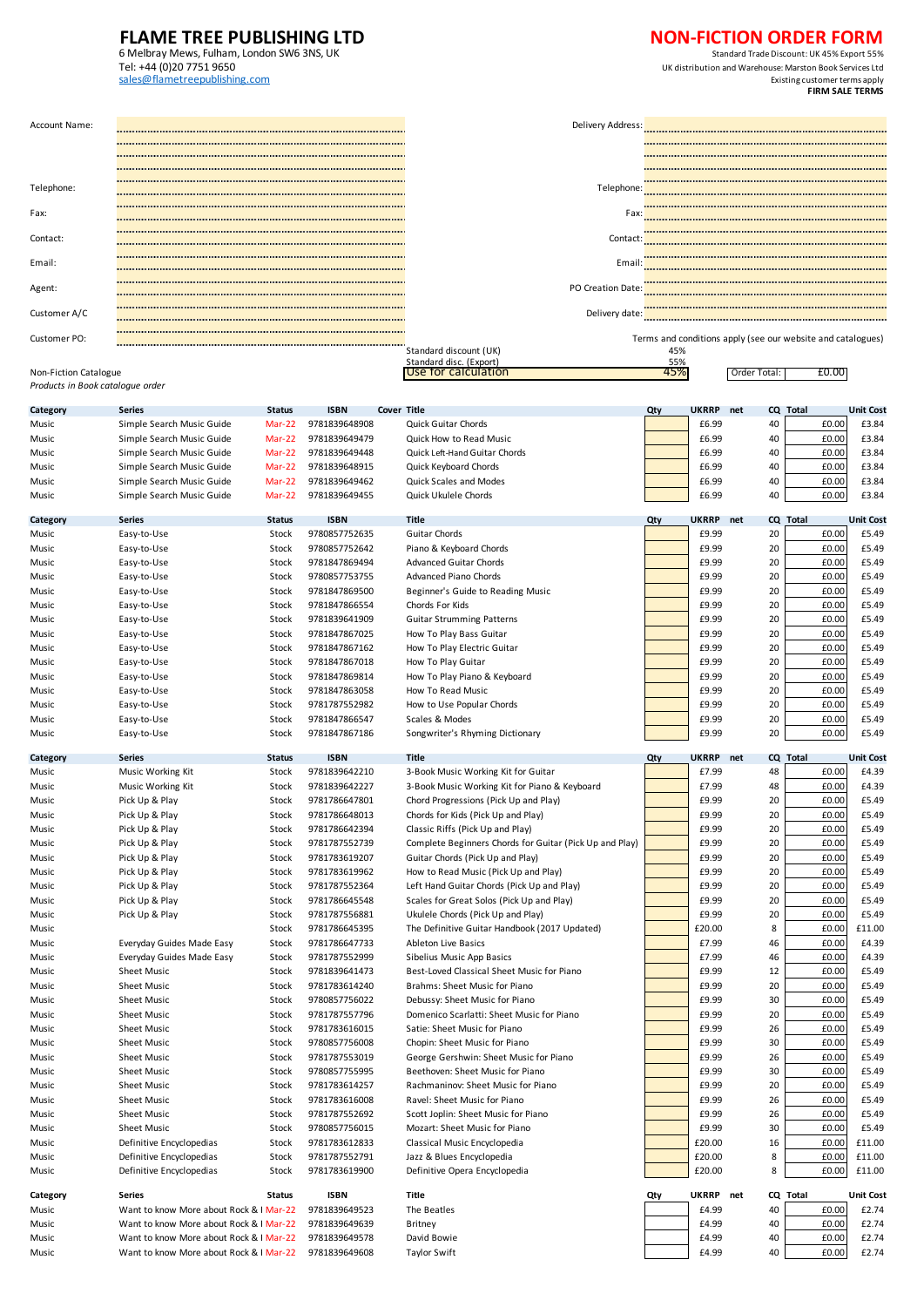## **FLAME TREE PUBLISHING LTD**<br>
6 Melbray Mews, Fulham, London SW6 3NS, UK<br> **Standard Trade Discount: UK 45% Export 55%**

6 Melbray Mews, Fulham, London SW6 3NS, UK<br>Tel: +44 (0)20 7751 9650<br>sales@flametreepublishing.com

Order Total:

Tel: +44 (0)20 7751 9650 UK distribution and Warehouse: Marston Book Services Ltd<br>Sales@flametreepublishing.com Existing customer terms apply<br>**FIRM SALE TERMS** 

| Account Name:         |                 | Delivery Address:       |                                                             |
|-----------------------|-----------------|-------------------------|-------------------------------------------------------------|
|                       |                 |                         |                                                             |
|                       |                 |                         |                                                             |
|                       |                 |                         |                                                             |
|                       |                 | Telephone:              |                                                             |
| Fax:                  |                 | Fax:                    |                                                             |
|                       |                 |                         | .                                                           |
| Contact:              |                 | Contact:                |                                                             |
|                       |                 |                         |                                                             |
| Email:                |                 | Email:                  |                                                             |
| Agent:                |                 | PO Creation Date:       |                                                             |
|                       |                 |                         |                                                             |
| Customer A/C          |                 | Delivery date:          |                                                             |
| Customer PO:          |                 |                         | Terms and conditions apply (see our website and catalogues) |
|                       | --------------- | Standard discount (UK)  | 45%                                                         |
|                       |                 | Standard disc. (Export) |                                                             |
| Non-Fiction Catalogue |                 | Use for calculation     | 45%<br>Order Total                                          |

Non-Fiction Catalogue order and the second the USE of Calculation **1999 in the USE of Catalogue Conde**rtical: The<br>Products in Book catalogue order

| Category | <b>Series</b>                           | <b>Status</b> | <b>ISBN</b>                    | <b>Cover Title</b>                                         | Qty | <b>UKRRP</b> | net | CQ Total | <b>Unit Cost</b> |
|----------|-----------------------------------------|---------------|--------------------------------|------------------------------------------------------------|-----|--------------|-----|----------|------------------|
| Music    | Simple Search Music Guide               | Mar-22        | 9781839648908                  | Quick Guitar Chords                                        |     | £6.99        | 40  | £0.00    | £3.84            |
| Music    | Simple Search Music Guide               | Mar-22        | 9781839649479                  | Quick How to Read Music                                    |     | £6.99        | 40  | £0.00    | £3.84            |
| Music    | Simple Search Music Guide               | Mar-22        | 9781839649448                  | Quick Left-Hand Guitar Chords                              |     | £6.99        | 40  | £0.00    | £3.84            |
| Music    | Simple Search Music Guide               | Mar-22        | 9781839648915                  | Quick Keyboard Chords                                      |     | £6.99        | 40  | £0.00    | £3.84            |
| Music    | Simple Search Music Guide               | Mar-22        | 9781839649462                  | Quick Scales and Modes                                     |     | £6.99        | 40  | £0.00    | £3.84            |
| Music    | Simple Search Music Guide               | Mar-22        | 9781839649455                  | Quick Ukulele Chords                                       |     | £6.99        | 40  | £0.00    | £3.84            |
| Category | <b>Series</b>                           | <b>Status</b> | <b>ISBN</b>                    | <b>Title</b>                                               | Qty | UKRRP net    |     | CQ Total | <b>Unit Cost</b> |
| Music    | Easy-to-Use                             | Stock         | 9780857752635                  | Guitar Chords                                              |     | £9.99        | 20  | £0.00    | £5.49            |
| Music    | Easy-to-Use                             | Stock         | 9780857752642                  | Piano & Keyboard Chords                                    |     | £9.99        | 20  | £0.00    | £5.49            |
| Music    | Easy-to-Use                             | Stock         | 9781847869494                  | <b>Advanced Guitar Chords</b>                              |     | £9.99        | 20  | £0.00    | £5.49            |
| Music    | Easy-to-Use                             | Stock         | 9780857753755                  | Advanced Piano Chords                                      |     | £9.99        | 20  | £0.00    | £5.49            |
| Music    | Easy-to-Use                             | Stock         | 9781847869500                  | Beginner's Guide to Reading Music                          |     | £9.99        | 20  | £0.00    | £5.49            |
| Music    | Easy-to-Use                             | Stock         | 9781847866554                  | Chords For Kids                                            |     | £9.99        | 20  | £0.00    | £5.49            |
| Music    | Easy-to-Use                             | Stock         | 9781839641909                  | <b>Guitar Strumming Patterns</b>                           |     | £9.99        | 20  | £0.00    | £5.49            |
| Music    | Easy-to-Use                             | Stock         | 9781847867025                  | How To Play Bass Guitar                                    |     | £9.99        | 20  | £0.00    | £5.49            |
| Music    | Easy-to-Use                             | Stock         | 9781847867162                  | How To Play Electric Guitar                                |     | £9.99        | 20  | £0.00    | £5.49            |
| Music    | Easy-to-Use                             | Stock         | 9781847867018                  | How To Play Guitar                                         |     | £9.99        | 20  | £0.00    | £5.49            |
| Music    | Easy-to-Use                             | Stock         | 9781847869814                  | How To Play Piano & Keyboard                               |     | £9.99        | 20  | £0.00    | £5.49            |
| Music    | Easy-to-Use                             | Stock         | 9781847863058                  | How To Read Music                                          |     | £9.99        | 20  | £0.00    | £5.49            |
| Music    | Easy-to-Use                             | Stock         | 9781787552982                  | How to Use Popular Chords                                  |     | £9.99        | 20  | £0.00    | £5.49            |
| Music    | Easy-to-Use                             | Stock         | 9781847866547                  | Scales & Modes                                             |     | £9.99        | 20  | £0.00    | £5.49            |
| Music    | Easy-to-Use                             | Stock         | 9781847867186                  | Songwriter's Rhyming Dictionary                            |     | £9.99        | 20  | £0.00    | £5.49            |
|          | <b>Series</b>                           | <b>Status</b> | <b>ISBN</b>                    | <b>Title</b>                                               |     | <b>UKRRP</b> | net | CQ Total | <b>Unit Cost</b> |
| Category |                                         |               |                                |                                                            | Qty | £7.99        | 48  | £0.00    | £4.39            |
| Music    | Music Working Kit                       | Stock         | 9781839642210<br>9781839642227 | 3-Book Music Working Kit for Guitar                        |     |              |     | £0.00    |                  |
| Music    | Music Working Kit                       | Stock         |                                | 3-Book Music Working Kit for Piano & Keyboard              |     | £7.99        | 48  |          | £4.39            |
| Music    | Pick Up & Play                          | Stock         | 9781786647801                  | Chord Progressions (Pick Up and Play)                      |     | £9.99        | 20  | £0.00    | £5.49            |
| Music    | Pick Up & Play                          | Stock         | 9781786648013                  | Chords for Kids (Pick Up and Play)                         |     | £9.99        | 20  | £0.00    | £5.49            |
| Music    | Pick Up & Play                          | Stock         | 9781786642394                  | Classic Riffs (Pick Up and Play)                           |     | £9.99        | 20  | £0.00    | £5.49            |
| Music    | Pick Up & Play                          | Stock         | 9781787552739                  | Complete Beginners Chords for Guitar (Pick Up and Play)    |     | £9.99        | 20  | £0.00    | £5.49            |
| Music    | Pick Up & Play                          | Stock         | 9781783619207                  | Guitar Chords (Pick Up and Play)                           |     | £9.99        | 20  | £0.00    | £5.49            |
| Music    | Pick Up & Play                          | Stock         | 9781783619962                  | How to Read Music (Pick Up and Play)                       |     | £9.99        | 20  | £0.00    | £5.49            |
| Music    | Pick Up & Play                          | Stock         | 9781787552364                  | Left Hand Guitar Chords (Pick Up and Play)                 |     | £9.99        | 20  | £0.00    | £5.49            |
| Music    | Pick Up & Play                          | Stock         | 9781786645548                  | Scales for Great Solos (Pick Up and Play)                  |     | £9.99        | 20  | £0.00    | £5.49            |
| Music    | Pick Up & Play                          | Stock         | 9781787556881                  | Ukulele Chords (Pick Up and Play)                          |     | £9.99        | 20  | £0.00    | £5.49            |
| Music    |                                         | Stock         | 9781786645395                  | The Definitive Guitar Handbook (2017 Updated)              |     | £20.00       | 8   | £0.00    | £11.00           |
| Music    | Everyday Guides Made Easy               | Stock         | 9781786647733                  | Ableton Live Basics                                        |     | £7.99        | 46  | £0.00    | £4.39            |
| Music    | Everyday Guides Made Easy               | Stock         | 9781787552999                  | Sibelius Music App Basics                                  |     | £7.99        | 46  | £0.00    | £4.39            |
| Music    | Sheet Music                             | Stock         | 9781839641473                  | Best-Loved Classical Sheet Music for Piano                 |     | £9.99        | 12  | £0.00    | £5.49            |
| Music    | Sheet Music                             | Stock         | 9781783614240                  | Brahms: Sheet Music for Piano                              |     | £9.99        | 20  | £0.00    | £5.49            |
| Music    | <b>Sheet Music</b>                      | Stock         | 9780857756022                  | Debussy: Sheet Music for Piano                             |     | £9.99        | 30  | £0.00    | £5.49            |
| Music    | <b>Sheet Music</b>                      | Stock         | 9781787557796                  | Domenico Scarlatti: Sheet Music for Piano                  |     | £9.99        | 20  | £0.00    | £5.49            |
| Music    | <b>Sheet Music</b>                      | Stock         | 9781783616015                  | Satie: Sheet Music for Piano                               |     | £9.99        | 26  | £0.00    | £5.49            |
| Music    | <b>Sheet Music</b>                      | Stock         | 9780857756008                  | Chopin: Sheet Music for Piano                              |     | £9.99        | 30  | £0.00    | £5.49            |
| Music    | <b>Sheet Music</b>                      | Stock         | 9781787553019                  | George Gershwin: Sheet Music for Piano                     |     | £9.99        | 26  | £0.00    | £5.49            |
| Music    | <b>Sheet Music</b>                      | Stock         | 9780857755995                  | Beethoven: Sheet Music for Piano                           |     | £9.99        | 30  | £0.00    | £5.49            |
| Music    | <b>Sheet Music</b>                      | Stock         | 9781783614257                  | Rachmaninov: Sheet Music for Piano                         |     | £9.99        | 20  | £0.00    | £5.49            |
| Music    | Sheet Music                             | Stock         | 9781783616008                  | Ravel: Sheet Music for Piano                               |     | £9.99        | 26  | £0.00    | £5.49            |
| Music    | Sheet Music                             | Stock         | 9781787552692                  | Scott Joplin: Sheet Music for Piano                        |     | £9.99        | 26  | £0.00    | £5.49            |
| Music    | Sheet Music                             | Stock         | 9780857756015                  | Mozart: Sheet Music for Piano                              |     | £9.99        | 30  | £0.00    | £5.49            |
| Music    | Definitive Encyclopedias                | Stock         | 9781783612833                  | Classical Music Encyclopedia                               |     | £20.00       | 16  | £0.00    | £11.00           |
| Music    | Definitive Encyclopedias                | Stock         | 9781787552791                  | Jazz & Blues Encyclopedia<br>Definitive Opera Encyclopedia |     | £20.00       | 8   | £0.00    | £11.00           |
| Music    | Definitive Encyclopedias                | Stock         | 9781783619900                  |                                                            |     | £20.00       | 8   | £0.00    | £11.00           |
| Category | <b>Series</b>                           | <b>Status</b> | <b>ISBN</b>                    | Title                                                      | Qty | <b>UKRRP</b> | net | CQ Total | <b>Unit Cost</b> |
| Music    | Want to know More about Rock &   Mar-22 |               | 9781839649523                  | The Beatles                                                |     | £4.99        | 40  | £0.00    | £2.74            |
| Music    | Want to know More about Rock &   Mar-22 |               | 9781839649639                  | <b>Britney</b>                                             |     | £4.99        | 40  | £0.00    | £2.74            |
| Music    | Want to know More about Rock &   Mar-22 |               | 9781839649578                  | David Bowie                                                |     | £4.99        | 40  | £0.00    | £2.74            |
| Music    | Want to know More about Rock &   Mar-22 |               | 9781839649608                  | <b>Taylor Swift</b>                                        |     | £4.99        | 40  | £0.00    | £2.74            |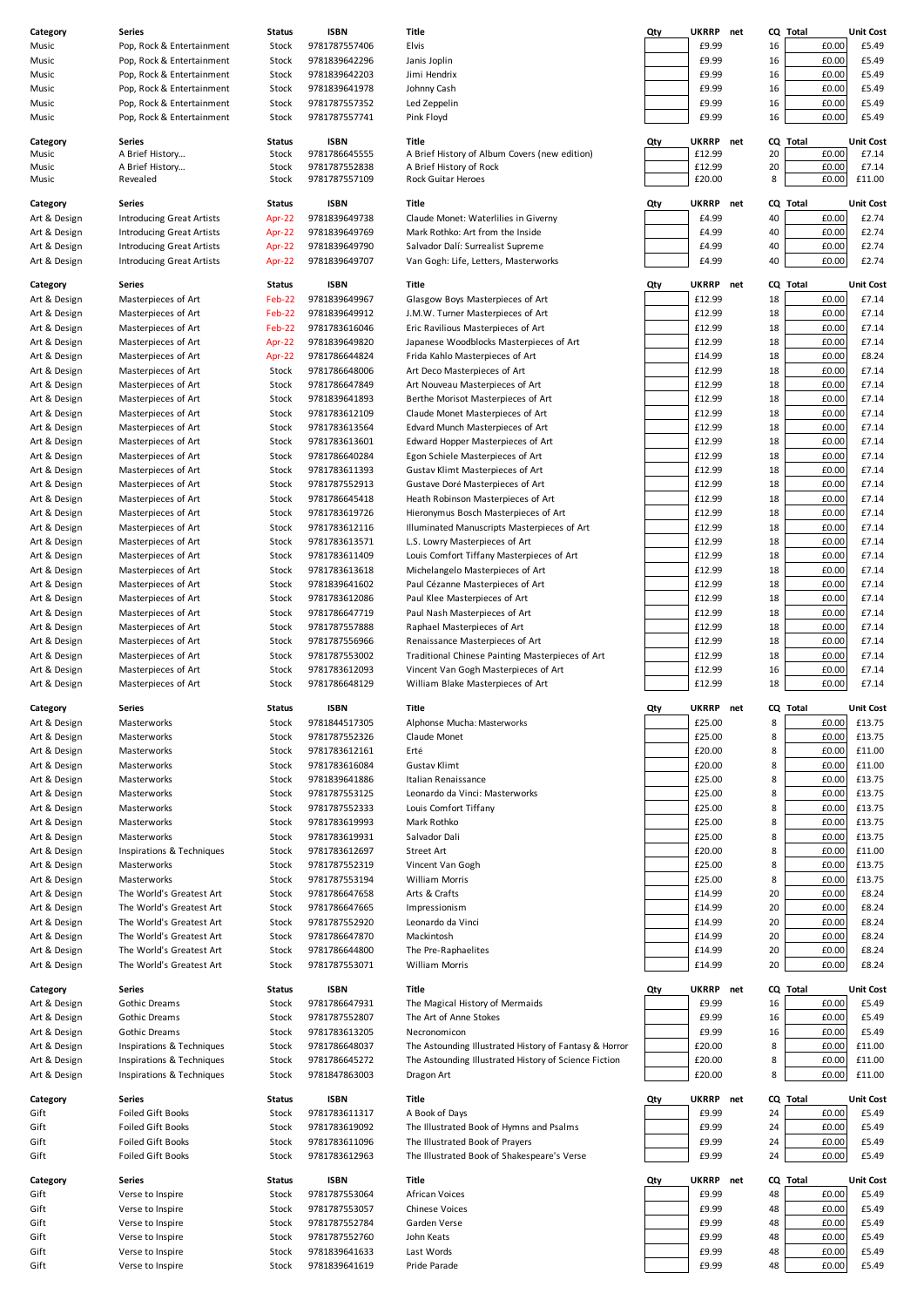| Category                     | Series                                | Status          | <b>ISBN</b>                    | Title                                                  | Qty | <b>UKRRP</b>       | net |         | CQ Total |                | <b>Unit Cost</b>          |
|------------------------------|---------------------------------------|-----------------|--------------------------------|--------------------------------------------------------|-----|--------------------|-----|---------|----------|----------------|---------------------------|
| Music                        | Pop, Rock & Entertainment             | Stock           | 9781787557406                  | Elvis                                                  |     | £9.99              |     | 16      |          | £0.00          | £5.49                     |
| Music                        | Pop, Rock & Entertainment             | Stock           | 9781839642296                  | Janis Joplin                                           |     | £9.99              |     | 16      |          | £0.00          | £5.49                     |
| Music                        | Pop, Rock & Entertainment             | Stock           | 9781839642203                  | Jimi Hendrix                                           |     | £9.99              |     | 16      |          | £0.00          | £5.49                     |
| Music                        | Pop, Rock & Entertainment             | Stock           | 9781839641978                  | Johnny Cash                                            |     | £9.99              |     | 16      |          | £0.00          | £5.49                     |
| Music                        | Pop, Rock & Entertainment             | Stock           | 9781787557352                  | Led Zeppelin                                           |     | £9.99              |     | 16      |          | £0.00          | £5.49                     |
| Music                        | Pop, Rock & Entertainment             | Stock           | 9781787557741                  | Pink Floyd                                             |     | £9.99              |     | 16      |          | £0.00          | £5.49                     |
|                              |                                       |                 |                                |                                                        |     |                    |     |         |          |                |                           |
| Category                     | Series                                | <b>Status</b>   | <b>ISBN</b>                    | Title                                                  | Qty | <b>UKRRP</b>       | net |         | CQ Total |                | <b>Unit Cost</b>          |
| Music                        | A Brief History                       | Stock           | 9781786645555                  | A Brief History of Album Covers (new edition)          |     | £12.99             |     | 20      |          | £0.00          | £7.14                     |
| Music                        | A Brief History                       | Stock           | 9781787552838<br>9781787557109 | A Brief History of Rock<br><b>Rock Guitar Heroes</b>   |     | £12.99<br>£20.00   |     | 20<br>8 |          | £0.00<br>£0.00 | £7.14<br>£11.00           |
| Music                        | Revealed                              | Stock           |                                |                                                        |     |                    |     |         |          |                |                           |
| Category                     | <b>Series</b>                         | Status          | <b>ISBN</b>                    | Title                                                  | Qty | <b>UKRRP</b>       | net |         | CQ Total |                | <b>Unit Cost</b>          |
| Art & Design                 | <b>Introducing Great Artists</b>      | Apr-22          | 9781839649738                  | Claude Monet: Waterlilies in Giverny                   |     | £4.99              |     | 40      |          | £0.00          | £2.74                     |
| Art & Design                 | <b>Introducing Great Artists</b>      | Apr-22          | 9781839649769                  | Mark Rothko: Art from the Inside                       |     | £4.99              |     | 40      |          | £0.00          | £2.74                     |
| Art & Design                 | Introducing Great Artists             | Apr-22          | 9781839649790                  | Salvador Dalí: Surrealist Supreme                      |     | £4.99              |     | 40      |          | £0.00          | £2.74                     |
| Art & Design                 | Introducing Great Artists             | Apr-22          | 9781839649707                  | Van Gogh: Life, Letters, Masterworks                   |     | £4.99              |     | 40      |          | £0.00          | £2.74                     |
|                              |                                       |                 |                                |                                                        |     |                    |     |         |          |                |                           |
| Category                     | <b>Series</b>                         | <b>Status</b>   | <b>ISBN</b>                    | Title                                                  | Qty | <b>UKRRP</b>       | net | CQ      | Total    |                | <b>Unit Cost</b>          |
| Art & Design                 | Masterpieces of Art                   | Feb-22          | 9781839649967                  | Glasgow Boys Masterpieces of Art                       |     | £12.99             |     | 18      |          | £0.00          | £7.14                     |
| Art & Design                 | Masterpieces of Art                   | Feb-22          | 9781839649912                  | J.M.W. Turner Masterpieces of Art                      |     | £12.99             |     | 18      |          | £0.00          | £7.14                     |
| Art & Design                 | Masterpieces of Art                   | Feb-22          | 9781783616046                  | Eric Ravilious Masterpieces of Art                     |     | £12.99             |     | 18      |          | £0.00          | £7.14                     |
| Art & Design                 | Masterpieces of Art                   | Apr-22          | 9781839649820                  | Japanese Woodblocks Masterpieces of Art                |     | £12.99             |     | 18      |          | £0.00          | £7.14                     |
| Art & Design                 | Masterpieces of Art                   | Apr-22          | 9781786644824                  | Frida Kahlo Masterpieces of Art                        |     | £14.99             |     | 18      |          | £0.00          | £8.24                     |
| Art & Design                 | Masterpieces of Art                   | Stock           | 9781786648006                  | Art Deco Masterpieces of Art                           |     | £12.99             |     | 18      |          | £0.00          | £7.14                     |
| Art & Design                 | Masterpieces of Art                   | Stock           | 9781786647849                  | Art Nouveau Masterpieces of Art                        |     | £12.99             |     | 18      |          | £0.00          | £7.14                     |
| Art & Design                 | Masterpieces of Art                   | Stock           | 9781839641893                  | Berthe Morisot Masterpieces of Art                     |     | £12.99             |     | 18      |          | £0.00          | £7.14                     |
| Art & Design                 | Masterpieces of Art                   | Stock           | 9781783612109                  | Claude Monet Masterpieces of Art                       |     | £12.99             |     | 18      |          | £0.00          | £7.14                     |
| Art & Design                 | Masterpieces of Art                   | Stock           | 9781783613564                  | Edvard Munch Masterpieces of Art                       |     | £12.99             |     | 18      |          | £0.00          | £7.14                     |
| Art & Design                 | Masterpieces of Art                   | Stock           | 9781783613601                  | Edward Hopper Masterpieces of Art                      |     | £12.99             |     | 18      |          | £0.00          | £7.14                     |
| Art & Design                 | Masterpieces of Art                   | Stock           | 9781786640284                  | Egon Schiele Masterpieces of Art                       |     | £12.99             |     | 18      |          | £0.00          | £7.14                     |
| Art & Design                 | Masterpieces of Art                   | Stock           | 9781783611393                  | Gustav Klimt Masterpieces of Art                       |     | £12.99             |     | 18      |          | £0.00          | £7.14                     |
| Art & Design                 | Masterpieces of Art                   | Stock           | 9781787552913                  | Gustave Doré Masterpieces of Art                       |     | £12.99             |     | 18      |          | £0.00          | £7.14                     |
| Art & Design                 | Masterpieces of Art                   | Stock           | 9781786645418                  | Heath Robinson Masterpieces of Art                     |     | £12.99             |     | 18      |          | £0.00          | £7.14                     |
| Art & Design                 | Masterpieces of Art                   | Stock           | 9781783619726                  | Hieronymus Bosch Masterpieces of Art                   |     | £12.99             |     | 18      |          | £0.00          | £7.14                     |
| Art & Design                 | Masterpieces of Art                   | Stock           | 9781783612116                  | Illuminated Manuscripts Masterpieces of Art            |     | £12.99             |     | 18      |          | £0.00          | £7.14                     |
| Art & Design                 | Masterpieces of Art                   | Stock           | 9781783613571                  | L.S. Lowry Masterpieces of Art                         |     | £12.99             |     | 18      |          | £0.00          | £7.14                     |
| Art & Design                 | Masterpieces of Art                   | Stock           | 9781783611409                  | Louis Comfort Tiffany Masterpieces of Art              |     | £12.99             |     | 18      |          | £0.00          | £7.14                     |
| Art & Design                 | Masterpieces of Art                   | Stock           | 9781783613618                  | Michelangelo Masterpieces of Art                       |     | £12.99             |     | 18      |          | £0.00          | £7.14                     |
| Art & Design                 | Masterpieces of Art                   | Stock           | 9781839641602                  | Paul Cézanne Masterpieces of Art                       |     | £12.99             |     | 18      |          | £0.00          | £7.14                     |
| Art & Design                 | Masterpieces of Art                   | Stock           | 9781783612086                  | Paul Klee Masterpieces of Art                          |     | £12.99             |     | 18      |          | £0.00          | £7.14                     |
| Art & Design                 | Masterpieces of Art                   | Stock           | 9781786647719                  | Paul Nash Masterpieces of Art                          |     | £12.99             |     | 18      |          | £0.00          | £7.14                     |
| Art & Design                 | Masterpieces of Art                   | Stock           | 9781787557888                  | Raphael Masterpieces of Art                            |     | £12.99             |     | 18      |          | £0.00          | £7.14                     |
| Art & Design                 | Masterpieces of Art                   | Stock           | 9781787556966                  | Renaissance Masterpieces of Art                        |     | £12.99             |     | 18      |          | £0.00          | £7.14                     |
| Art & Design                 | Masterpieces of Art                   | Stock           | 9781787553002                  | Traditional Chinese Painting Masterpieces of Art       |     | £12.99             |     | 18      |          | £0.00          | £7.14                     |
| Art & Design                 | Masterpieces of Art                   | Stock           | 9781783612093                  | Vincent Van Gogh Masterpieces of Art                   |     | £12.99             |     | 16      |          | £0.00          | £7.14                     |
| Art & Design                 | Masterpieces of Art                   | Stock           | 9781786648129                  | William Blake Masterpieces of Art                      |     | £12.99             |     | 18      |          | £0.00          | £7.14                     |
|                              |                                       |                 |                                |                                                        |     |                    |     |         |          |                |                           |
| Category                     | <b>Series</b>                         |                 |                                | Title                                                  |     |                    |     |         |          |                | <b>Unit Cost</b>          |
|                              |                                       | <b>Status</b>   | <b>ISBN</b>                    |                                                        | Qty | <b>UKRRP</b>       | net |         | CQ Total |                |                           |
| Art & Design                 | Masterworks                           | Stock           | 9781844517305                  | Alphonse Mucha: Masterworks                            |     | £25.00             |     | 8       |          | £0.00          | £13.75                    |
| Art & Design                 | Masterworks                           | Stock           | 9781787552326                  | Claude Monet                                           |     | £25.00             |     | 8       |          | £0.00          | £13.75                    |
| Art & Design                 | Masterworks                           | Stock           | 9781783612161                  | Erté                                                   |     | £20.00             |     | 8       |          | £0.00          | £11.00                    |
| Art & Design                 | Masterworks                           | Stock           | 9781783616084                  | Gustav Klimt                                           |     | £20.00             |     | 8       |          | £0.00          | £11.00                    |
| Art & Design                 | Masterworks                           | Stock           | 9781839641886                  | Italian Renaissance                                    |     | £25.00             |     | 8       |          | £0.00          | £13.75                    |
| Art & Design                 | Masterworks                           | Stock           | 9781787553125                  | Leonardo da Vinci: Masterworks                         |     | £25.00             |     | 8       |          | £0.00          | £13.75                    |
| Art & Design                 | Masterworks                           | Stock           | 9781787552333                  | Louis Comfort Tiffany                                  |     | £25.00             |     | 8       |          | £0.00          | £13.75                    |
| Art & Design                 | Masterworks                           | Stock           | 9781783619993                  | Mark Rothko                                            |     | £25.00             |     | 8       |          | £0.00          | £13.75                    |
| Art & Design                 | Masterworks                           | Stock           | 9781783619931                  | Salvador Dali                                          |     | £25.00             |     | 8       |          | £0.00          | £13.75                    |
| Art & Design                 | Inspirations & Techniques             | Stock           | 9781783612697                  | Street Art                                             |     | £20.00             |     | 8       |          | £0.00          | £11.00                    |
| Art & Design                 | Masterworks                           | Stock           | 9781787552319                  | Vincent Van Gogh                                       |     | £25.00             |     | 8       |          | £0.00          | £13.75                    |
| Art & Design                 | Masterworks                           | Stock           | 9781787553194                  | <b>William Morris</b>                                  |     | £25.00             |     | 8       |          | £0.00          | £13.75                    |
| Art & Design                 | The World's Greatest Art              | Stock           | 9781786647658                  | Arts & Crafts                                          |     | £14.99             |     | 20      |          | £0.00          | £8.24                     |
| Art & Design                 | The World's Greatest Art              | Stock           | 9781786647665                  | Impressionism                                          |     | £14.99             |     | 20      |          | £0.00          | £8.24                     |
| Art & Design                 | The World's Greatest Art              | Stock           | 9781787552920                  | Leonardo da Vinci                                      |     | £14.99             |     | 20      |          | £0.00          | £8.24                     |
| Art & Design                 | The World's Greatest Art              | Stock           | 9781786647870                  | Mackintosh                                             |     | £14.99             |     | 20      |          | £0.00          | £8.24                     |
| Art & Design                 | The World's Greatest Art              | Stock           | 9781786644800                  | The Pre-Raphaelites                                    |     | £14.99             |     | 20      |          | £0.00          | £8.24                     |
| Art & Design                 | The World's Greatest Art              | Stock           | 9781787553071                  | William Morris                                         |     | £14.99             |     | 20      |          | £0.00          | £8.24                     |
|                              |                                       |                 |                                | Title                                                  |     |                    |     |         |          |                |                           |
| Category<br>Art & Design     | <b>Series</b><br><b>Gothic Dreams</b> | Status<br>Stock | <b>ISBN</b><br>9781786647931   | The Magical History of Mermaids                        | Qty | UKRRP net<br>£9.99 |     | 16      | CQ Total | £0.00          | <b>Unit Cost</b><br>£5.49 |
| Art & Design                 | Gothic Dreams                         | Stock           | 9781787552807                  | The Art of Anne Stokes                                 |     | £9.99              |     | 16      |          | £0.00          | £5.49                     |
|                              | <b>Gothic Dreams</b>                  | Stock           | 9781783613205                  | Necronomicon                                           |     | £9.99              |     | 16      |          | £0.00          | £5.49                     |
| Art & Design<br>Art & Design | Inspirations & Techniques             | Stock           | 9781786648037                  | The Astounding Illustrated History of Fantasy & Horror |     | £20.00             |     | 8       |          | £0.00          | £11.00                    |
| Art & Design                 | Inspirations & Techniques             | Stock           | 9781786645272                  | The Astounding Illustrated History of Science Fiction  |     | £20.00             |     | 8       |          | £0.00          | £11.00                    |
| Art & Design                 | Inspirations & Techniques             | Stock           | 9781847863003                  | Dragon Art                                             |     | £20.00             |     | 8       |          | £0.00          | £11.00                    |
|                              |                                       |                 |                                |                                                        |     |                    |     |         |          |                |                           |
| Category                     | Series                                | Status          | <b>ISBN</b>                    | Title                                                  | Qty | UKRRP net          |     |         | CQ Total |                | <b>Unit Cost</b>          |
| Gift                         | Foiled Gift Books                     | Stock           | 9781783611317                  | A Book of Days                                         |     | £9.99              |     | 24      |          | £0.00          | £5.49                     |
| Gift                         | <b>Foiled Gift Books</b>              | Stock           | 9781783619092                  | The Illustrated Book of Hymns and Psalms               |     | £9.99              |     | 24      |          | £0.00          | £5.49                     |
| Gift                         | Foiled Gift Books                     | Stock           | 9781783611096                  | The Illustrated Book of Prayers                        |     | £9.99              |     | 24      |          | £0.00          | £5.49                     |
| Gift                         | Foiled Gift Books                     | Stock           | 9781783612963                  | The Illustrated Book of Shakespeare's Verse            |     | £9.99              |     | 24      |          | £0.00          | £5.49                     |
|                              |                                       |                 |                                |                                                        |     |                    |     |         |          |                |                           |
| Category                     | Series                                | Status          | <b>ISBN</b>                    | Title                                                  | Qty | <b>UKRRP</b>       | net |         | CQ Total |                | <b>Unit Cost</b>          |
| Gift                         | Verse to Inspire                      | Stock           | 9781787553064                  | African Voices                                         |     | £9.99              |     | 48      |          | £0.00          | £5.49                     |
| Gift                         | Verse to Inspire                      | Stock           | 9781787553057                  | <b>Chinese Voices</b>                                  |     | £9.99              |     | 48      |          | £0.00          | £5.49                     |
| Gift                         | Verse to Inspire                      | Stock           | 9781787552784                  | Garden Verse                                           |     | £9.99              |     | 48      |          | £0.00          | £5.49                     |
| Gift                         | Verse to Inspire                      | Stock           | 9781787552760                  | John Keats                                             |     | £9.99              |     | 48      |          | £0.00          | £5.49                     |
| Gift                         | Verse to Inspire                      | Stock           | 9781839641633                  | Last Words                                             |     | £9.99              |     | 48      |          | £0.00          | £5.49                     |
| Gift                         | Verse to Inspire                      | Stock           | 9781839641619                  | Pride Parade                                           |     | £9.99              |     | 48      |          | £0.00          | £5.49                     |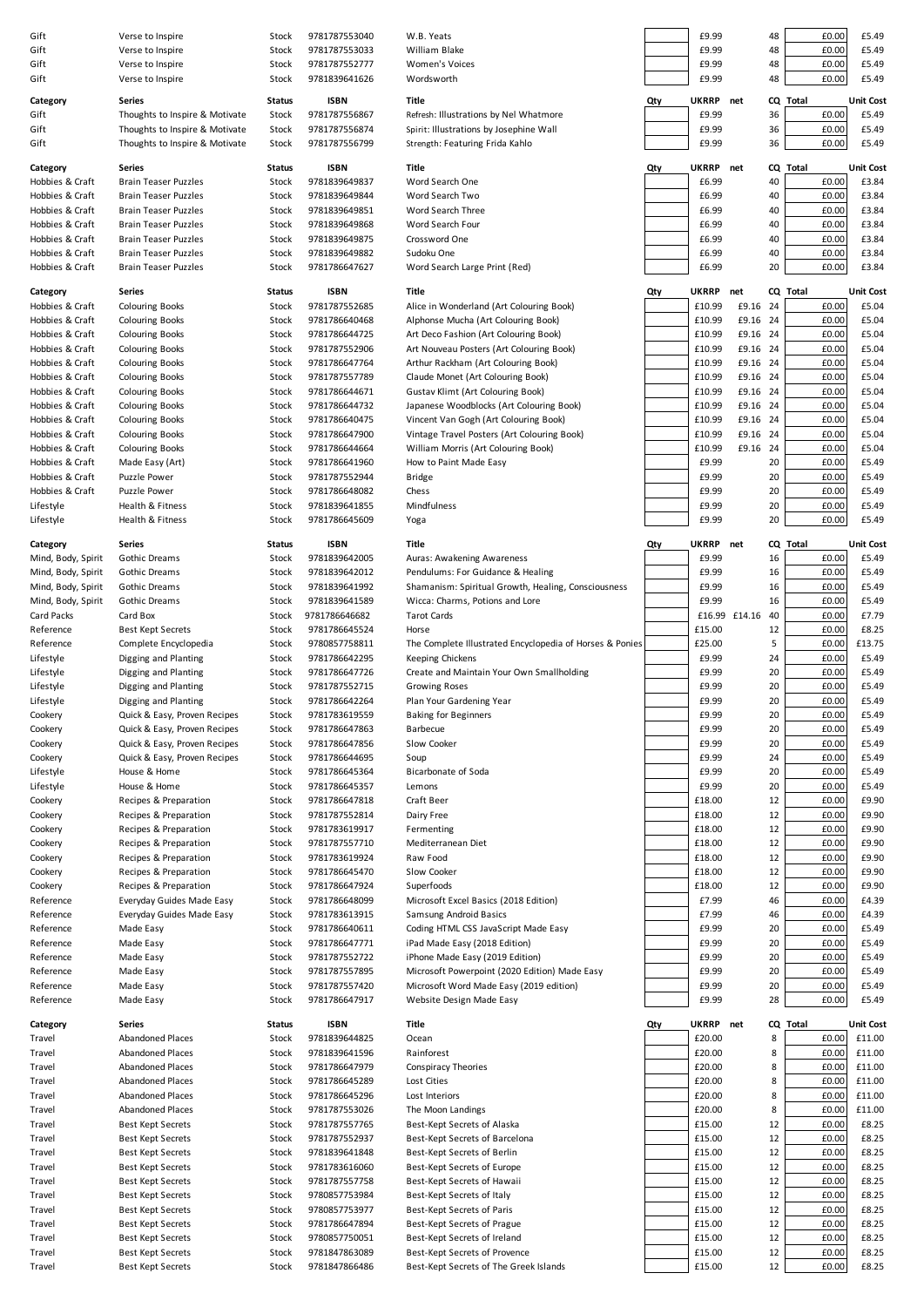| Gift               | Verse to Inspire               | Stock         | 9781787553040                  | W.B. Yeats                                               |     | £9.99<br>£9.99 |               | 48<br>48 | £0.00    | £5.49<br>£5.49   |
|--------------------|--------------------------------|---------------|--------------------------------|----------------------------------------------------------|-----|----------------|---------------|----------|----------|------------------|
| Gift               | Verse to Inspire               | Stock         | 9781787553033<br>9781787552777 | William Blake                                            |     |                |               |          | £0.00    |                  |
| Gift               | Verse to Inspire               | Stock         |                                | <b>Women's Voices</b>                                    |     | £9.99          |               | 48       | £0.00    | £5.49            |
| Gift               | Verse to Inspire               | Stock         | 9781839641626                  | Wordsworth                                               |     | £9.99          |               | 48       | £0.00    | £5.49            |
| Category           | Series                         | <b>Status</b> | <b>ISBN</b>                    | Title                                                    | Qty | <b>UKRRP</b>   | net           |          | CQ Total | <b>Unit Cost</b> |
| Gift               | Thoughts to Inspire & Motivate | Stock         | 9781787556867                  | Refresh: Illustrations by Nel Whatmore                   |     | £9.99          |               | 36       | £0.00    | £5.49            |
| Gift               | Thoughts to Inspire & Motivate | Stock         | 9781787556874                  | Spirit: Illustrations by Josephine Wall                  |     | £9.99          |               | 36       | £0.00    | £5.49            |
| Gift               | Thoughts to Inspire & Motivate | Stock         | 9781787556799                  | Strength: Featuring Frida Kahlo                          |     | £9.99          |               | 36       | £0.00    | £5.49            |
|                    |                                |               |                                |                                                          |     |                |               |          |          |                  |
| Category           | Series                         | <b>Status</b> | <b>ISBN</b>                    | Title                                                    | Qty | <b>UKRRP</b>   | net           |          | CQ Total | <b>Unit Cost</b> |
| Hobbies & Craft    | <b>Brain Teaser Puzzles</b>    | Stock         | 9781839649837                  | Word Search One                                          |     | £6.99          |               | 40       | £0.00    | £3.84            |
| Hobbies & Craft    | <b>Brain Teaser Puzzles</b>    | Stock         | 9781839649844                  | Word Search Two                                          |     | £6.99          |               | 40       | £0.00    | £3.84            |
| Hobbies & Craft    | <b>Brain Teaser Puzzles</b>    | Stock         | 9781839649851                  | Word Search Three                                        |     | £6.99          |               | 40       | £0.00    | £3.84            |
| Hobbies & Craft    | <b>Brain Teaser Puzzles</b>    | Stock         | 9781839649868                  | Word Search Four                                         |     | £6.99          |               | 40       | £0.00    | £3.84            |
| Hobbies & Craft    | <b>Brain Teaser Puzzles</b>    | Stock         | 9781839649875                  | Crossword One                                            |     | £6.99          |               | 40       | £0.00    | £3.84            |
| Hobbies & Craft    | <b>Brain Teaser Puzzles</b>    | Stock         | 9781839649882                  | Sudoku One                                               |     | £6.99          |               | 40       | £0.00    | £3.84            |
| Hobbies & Craft    | <b>Brain Teaser Puzzles</b>    | Stock         | 9781786647627                  | Word Search Large Print (Red)                            |     | £6.99          |               | 20       | £0.00    | £3.84            |
|                    |                                |               |                                |                                                          |     |                |               |          |          |                  |
| Category           | Series                         | <b>Status</b> | <b>ISBN</b>                    | Title                                                    | Qty | <b>UKRRP</b>   | net           |          | CQ Total | <b>Unit Cost</b> |
| Hobbies & Craft    | <b>Colouring Books</b>         | Stock         | 9781787552685                  | Alice in Wonderland (Art Colouring Book)                 |     | £10.99         | £9.16 24      |          | £0.00    | £5.04            |
| Hobbies & Craft    | <b>Colouring Books</b>         | Stock         | 9781786640468                  | Alphonse Mucha (Art Colouring Book)                      |     | £10.99         | £9.16 24      |          | £0.00    | £5.04            |
| Hobbies & Craft    | <b>Colouring Books</b>         | Stock         | 9781786644725                  | Art Deco Fashion (Art Colouring Book)                    |     | £10.99         | £9.16 24      |          | £0.00    | £5.04            |
| Hobbies & Craft    | <b>Colouring Books</b>         | Stock         | 9781787552906                  | Art Nouveau Posters (Art Colouring Book)                 |     | £10.99         | £9.16 24      |          | £0.00    | £5.04            |
| Hobbies & Craft    | <b>Colouring Books</b>         | Stock         | 9781786647764                  | Arthur Rackham (Art Colouring Book)                      |     | £10.99         | £9.16 24      |          | £0.00    | £5.04            |
| Hobbies & Craft    | <b>Colouring Books</b>         | Stock         | 9781787557789                  | Claude Monet (Art Colouring Book)                        |     | £10.99         | £9.16 24      |          | £0.00    | £5.04            |
|                    |                                |               |                                |                                                          |     |                |               |          |          |                  |
| Hobbies & Craft    | <b>Colouring Books</b>         | Stock         | 9781786644671                  | Gustav Klimt (Art Colouring Book)                        |     | £10.99         | £9.16 24      |          | £0.00    | £5.04            |
| Hobbies & Craft    | <b>Colouring Books</b>         | Stock         | 9781786644732                  | Japanese Woodblocks (Art Colouring Book)                 |     | £10.99         | £9.16 24      |          | £0.00    | £5.04            |
| Hobbies & Craft    | <b>Colouring Books</b>         | Stock         | 9781786640475                  | Vincent Van Gogh (Art Colouring Book)                    |     | £10.99         | £9.16 24      |          | £0.00    | £5.04            |
| Hobbies & Craft    | <b>Colouring Books</b>         | Stock         | 9781786647900                  | Vintage Travel Posters (Art Colouring Book)              |     | £10.99         | £9.16 24      |          | £0.00    | £5.04            |
| Hobbies & Craft    | <b>Colouring Books</b>         | Stock         | 9781786644664                  | William Morris (Art Colouring Book)                      |     | £10.99         | £9.16 24      |          | £0.00    | £5.04            |
| Hobbies & Craft    | Made Easy (Art)                | Stock         | 9781786641960                  | How to Paint Made Easy                                   |     | £9.99          |               | 20       | £0.00    | £5.49            |
| Hobbies & Craft    | Puzzle Power                   | Stock         | 9781787552944                  | Bridge                                                   |     | £9.99          |               | 20       | £0.00    | £5.49            |
| Hobbies & Craft    | Puzzle Power                   | Stock         | 9781786648082                  | Chess                                                    |     | £9.99          |               | 20       | £0.00    | £5.49            |
| Lifestyle          | Health & Fitness               | Stock         | 9781839641855                  | Mindfulness                                              |     | £9.99          |               | 20       | £0.00    | £5.49            |
|                    |                                |               |                                |                                                          |     |                |               |          |          |                  |
| Lifestyle          | Health & Fitness               | Stock         | 9781786645609                  | Yoga                                                     |     | £9.99          |               | 20       | £0.00    | £5.49            |
| Category           | Series                         | <b>Status</b> | <b>ISBN</b>                    | Title                                                    | Qty | <b>UKRRP</b>   | net           |          | CQ Total | <b>Unit Cost</b> |
| Mind, Body, Spirit | <b>Gothic Dreams</b>           | Stock         | 9781839642005                  | Auras: Awakening Awareness                               |     | £9.99          |               | 16       | £0.00    | £5.49            |
|                    |                                |               |                                |                                                          |     | £9.99          |               | 16       | £0.00    | £5.49            |
| Mind, Body, Spirit | Gothic Dreams                  | Stock         | 9781839642012                  | Pendulums: For Guidance & Healing                        |     |                |               |          |          |                  |
| Mind, Body, Spirit | Gothic Dreams                  | Stock         | 9781839641992                  | Shamanism: Spiritual Growth, Healing, Consciousness      |     | £9.99          |               | 16       | £0.00    | £5.49            |
| Mind, Body, Spirit | <b>Gothic Dreams</b>           | Stock         | 9781839641589                  | Wicca: Charms, Potions and Lore                          |     | £9.99          |               | 16       | £0.00    | £5.49            |
| Card Packs         | Card Box                       | Stock         | 9781786646682                  | <b>Tarot Cards</b>                                       |     |                | £16.99 £14.16 | 40       | £0.00    | £7.79            |
| Reference          | <b>Best Kept Secrets</b>       | Stock         | 9781786645524                  | Horse                                                    |     | £15.00         |               | 12       | £0.00    | £8.25            |
| Reference          | Complete Encyclopedia          | Stock         | 9780857758811                  | The Complete Illustrated Encyclopedia of Horses & Ponies |     | £25.00         |               | 5        | £0.00    | £13.75           |
| Lifestyle          | Digging and Planting           | Stock         | 9781786642295                  | Keeping Chickens                                         |     | £9.99          |               | 24       | £0.00    | £5.49            |
| Lifestyle          | Digging and Planting           | Stock         | 9781786647726                  | Create and Maintain Your Own Smallholding                |     | £9.99          |               | 20       | £0.00    | £5.49            |
| Lifestyle          | Digging and Planting           | Stock         | 9781787552715                  | <b>Growing Roses</b>                                     |     | £9.99          |               | 20       | £0.00    | £5.49            |
| Lifestyle          | Digging and Planting           | Stock         | 9781786642264                  | Plan Your Gardening Year                                 |     | £9.99          |               | 20       | £0.00    | £5.49            |
|                    |                                | Stock         | 9781783619559                  |                                                          |     | £9.99          |               | 20       | £0.00    | £5.49            |
| Cookery            | Quick & Easy, Proven Recipes   |               |                                | <b>Baking for Beginners</b>                              |     |                |               |          |          |                  |
| Cookery            | Quick & Easy, Proven Recipes   | Stock         | 9781786647863                  | Barbecue                                                 |     | £9.99          |               | 20       | £0.00    | £5.49            |
| Cookery            | Quick & Easy, Proven Recipes   | Stock         | 9781786647856                  | Slow Cooker                                              |     | £9.99          |               | 20       | £0.00    | £5.49            |
| Cookery            | Quick & Easy, Proven Recipes   | Stock         | 9781786644695                  | Soup                                                     |     | £9.99          |               | 24       | £0.00    | £5.49            |
| Lifestyle          | House & Home                   | Stock         | 9781786645364                  | Bicarbonate of Soda                                      |     | £9.99          |               | 20       | £0.00    | £5.49            |
| Lifestyle          | House & Home                   | Stock         | 9781786645357                  | Lemons                                                   |     | £9.99          |               | 20       | £0.00    | £5.49            |
| Cookery            | Recipes & Preparation          | Stock         | 9781786647818                  | Craft Beer                                               |     | £18.00         |               | 12       | £0.00    | £9.90            |
| Cookery            | Recipes & Preparation          | Stock         | 9781787552814                  | Dairy Free                                               |     | £18.00         |               | 12       | £0.00    | £9.90            |
| Cookery            | Recipes & Preparation          | Stock         | 9781783619917                  | Fermenting                                               |     | £18.00         |               | 12       | £0.00    | £9.90            |
| Cookery            | Recipes & Preparation          | Stock         | 9781787557710                  | Mediterranean Diet                                       |     | £18.00         |               | 12       | £0.00    | £9.90            |
| Cookery            | Recipes & Preparation          | Stock         | 9781783619924                  | Raw Food                                                 |     | £18.00         |               | 12       | £0.00    | £9.90            |
| Cookery            | Recipes & Preparation          | Stock         | 9781786645470                  | Slow Cooker                                              |     | £18.00         |               | 12       | £0.00    | £9.90            |
| Cookery            | Recipes & Preparation          | Stock         | 9781786647924                  | Superfoods                                               |     | £18.00         |               | 12       | £0.00    | £9.90            |
| Reference          | Everyday Guides Made Easy      | Stock         | 9781786648099                  | Microsoft Excel Basics (2018 Edition)                    |     | £7.99          |               | 46       | £0.00    | £4.39            |
| Reference          | Everyday Guides Made Easy      | Stock         | 9781783613915                  | Samsung Android Basics                                   |     | £7.99          |               | 46       | £0.00    | £4.39            |
|                    |                                |               |                                |                                                          |     | £9.99          |               |          |          |                  |
| Reference          | Made Easy                      | Stock         | 9781786640611                  | Coding HTML CSS JavaScript Made Easy                     |     |                |               | 20       | £0.00    | £5.49            |
| Reference          | Made Easy                      | Stock         | 9781786647771                  | iPad Made Easy (2018 Edition)                            |     | £9.99          |               | 20       | £0.00    | £5.49            |
| Reference          | Made Easy                      | Stock         | 9781787552722                  | iPhone Made Easy (2019 Edition)                          |     | £9.99          |               | 20       | £0.00    | £5.49            |
| Reference          | Made Easy                      | Stock         | 9781787557895                  | Microsoft Powerpoint (2020 Edition) Made Easy            |     | £9.99          |               | 20       | £0.00    | £5.49            |
| Reference          | Made Easy                      | Stock         | 9781787557420                  | Microsoft Word Made Easy (2019 edition)                  |     | £9.99          |               | 20       | £0.00    | £5.49            |
| Reference          | Made Easy                      | Stock         | 9781786647917                  | Website Design Made Easy                                 |     | £9.99          |               | 28       | £0.00    | £5.49            |
| Category           | <b>Series</b>                  | <b>Status</b> | <b>ISBN</b>                    | Title                                                    | Qty | UKRRP net      |               |          | CQ Total | <b>Unit Cost</b> |
|                    | <b>Abandoned Places</b>        |               | 9781839644825                  | Ocean                                                    |     | £20.00         |               | 8        | £0.00    | £11.00           |
| Travel             |                                | Stock         |                                |                                                          |     |                |               |          |          |                  |
| Travel             | <b>Abandoned Places</b>        | Stock         | 9781839641596                  | Rainforest                                               |     | £20.00         |               | 8        | £0.00    | £11.00           |
| Travel             | <b>Abandoned Places</b>        | Stock         | 9781786647979                  | <b>Conspiracy Theories</b>                               |     | £20.00         |               | 8        | £0.00    | £11.00           |
| Travel             | <b>Abandoned Places</b>        | Stock         | 9781786645289                  | Lost Cities                                              |     | £20.00         |               | 8        | £0.00    | £11.00           |
| Travel             | <b>Abandoned Places</b>        | Stock         | 9781786645296                  | Lost Interiors                                           |     | £20.00         |               | 8        | £0.00    | £11.00           |
| Travel             | <b>Abandoned Places</b>        | Stock         | 9781787553026                  | The Moon Landings                                        |     | £20.00         |               | 8        | £0.00    | £11.00           |
| Travel             | <b>Best Kept Secrets</b>       | Stock         | 9781787557765                  | Best-Kept Secrets of Alaska                              |     | £15.00         |               | 12       | £0.00    | £8.25            |
| Travel             | <b>Best Kept Secrets</b>       | Stock         | 9781787552937                  | Best-Kept Secrets of Barcelona                           |     | £15.00         |               | 12       | £0.00    | £8.25            |
| Travel             | <b>Best Kept Secrets</b>       | Stock         | 9781839641848                  | Best-Kept Secrets of Berlin                              |     | £15.00         |               | 12       | £0.00    | £8.25            |
| Travel             | <b>Best Kept Secrets</b>       | Stock         | 9781783616060                  | Best-Kept Secrets of Europe                              |     | £15.00         |               | 12       | £0.00    | £8.25            |
|                    | <b>Best Kept Secrets</b>       |               | 9781787557758                  | Best-Kept Secrets of Hawaii                              |     |                |               | 12       | £0.00    | £8.25            |
| Travel             |                                | Stock         |                                |                                                          |     | £15.00         |               |          |          |                  |
| Travel             | <b>Best Kept Secrets</b>       | Stock         | 9780857753984                  | Best-Kept Secrets of Italy                               |     | £15.00         |               | 12       | £0.00    | £8.25            |
| Travel             | <b>Best Kept Secrets</b>       | Stock         | 9780857753977                  | Best-Kept Secrets of Paris                               |     | £15.00         |               | 12       | £0.00    | £8.25            |
| Travel             | <b>Best Kept Secrets</b>       | Stock         | 9781786647894                  | Best-Kept Secrets of Prague                              |     | £15.00         |               | 12       | £0.00    | £8.25            |
| Travel             | <b>Best Kept Secrets</b>       | Stock         | 9780857750051                  | Best-Kept Secrets of Ireland                             |     | £15.00         |               | 12       | £0.00    | £8.25            |
| Travel             |                                | Stock         | 9781847863089                  | Best-Kept Secrets of Provence                            |     | £15.00         |               | 12       | £0.00    | £8.25            |
|                    | <b>Best Kept Secrets</b>       |               |                                |                                                          |     |                |               |          |          |                  |
| Travel             | <b>Best Kept Secrets</b>       | Stock         | 9781847866486                  | Best-Kept Secrets of The Greek Islands                   |     | £15.00         |               | 12       | £0.00    | £8.25            |